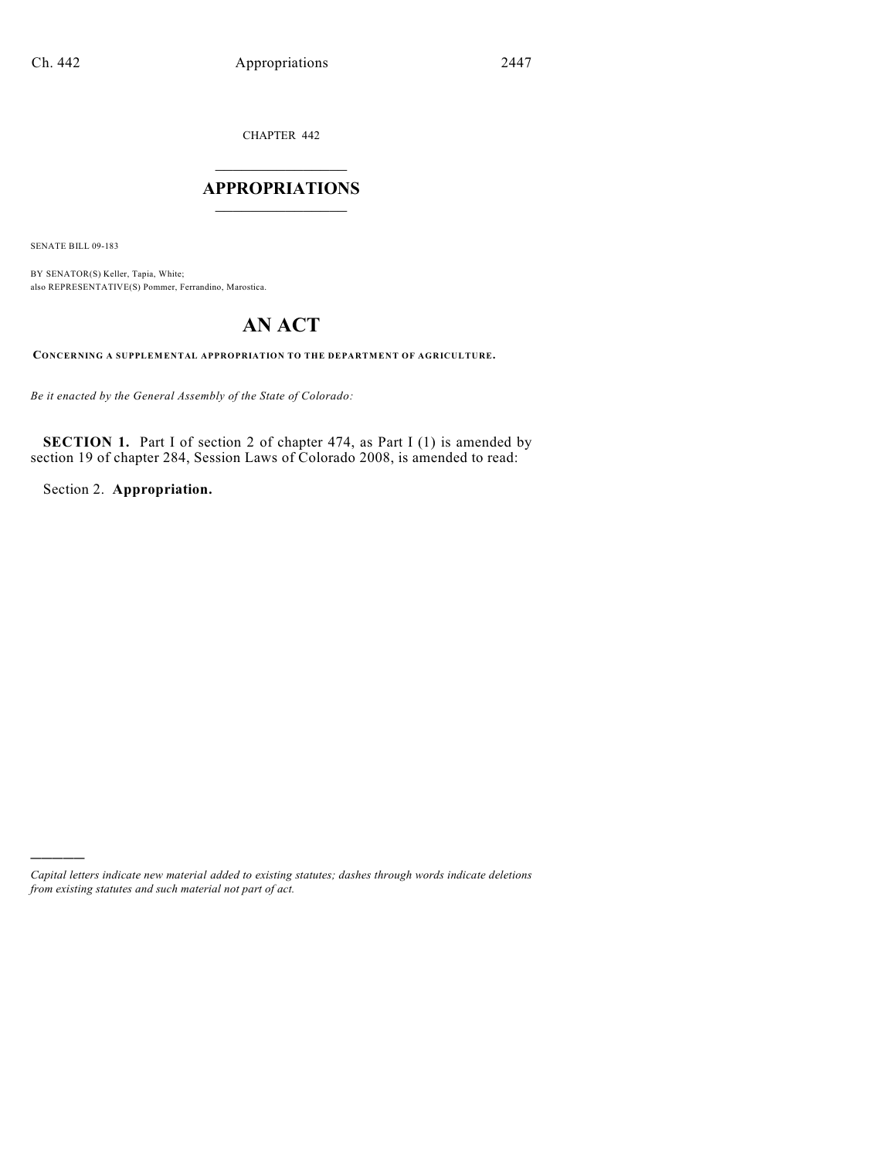CHAPTER 442

## $\overline{\phantom{a}}$  . The set of the set of the set of the set of the set of the set of the set of the set of the set of the set of the set of the set of the set of the set of the set of the set of the set of the set of the set o **APPROPRIATIONS**  $\_$   $\_$   $\_$   $\_$   $\_$   $\_$   $\_$   $\_$

SENATE BILL 09-183

)))))

BY SENATOR(S) Keller, Tapia, White; also REPRESENTATIVE(S) Pommer, Ferrandino, Marostica.

# **AN ACT**

**CONCERNING A SUPPLEMENTAL APPROPRIATION TO THE DEPARTMENT OF AGRICULTURE.**

*Be it enacted by the General Assembly of the State of Colorado:*

**SECTION 1.** Part I of section 2 of chapter 474, as Part I (1) is amended by section 19 of chapter 284, Session Laws of Colorado 2008, is amended to read:

Section 2. **Appropriation.**

*Capital letters indicate new material added to existing statutes; dashes through words indicate deletions from existing statutes and such material not part of act.*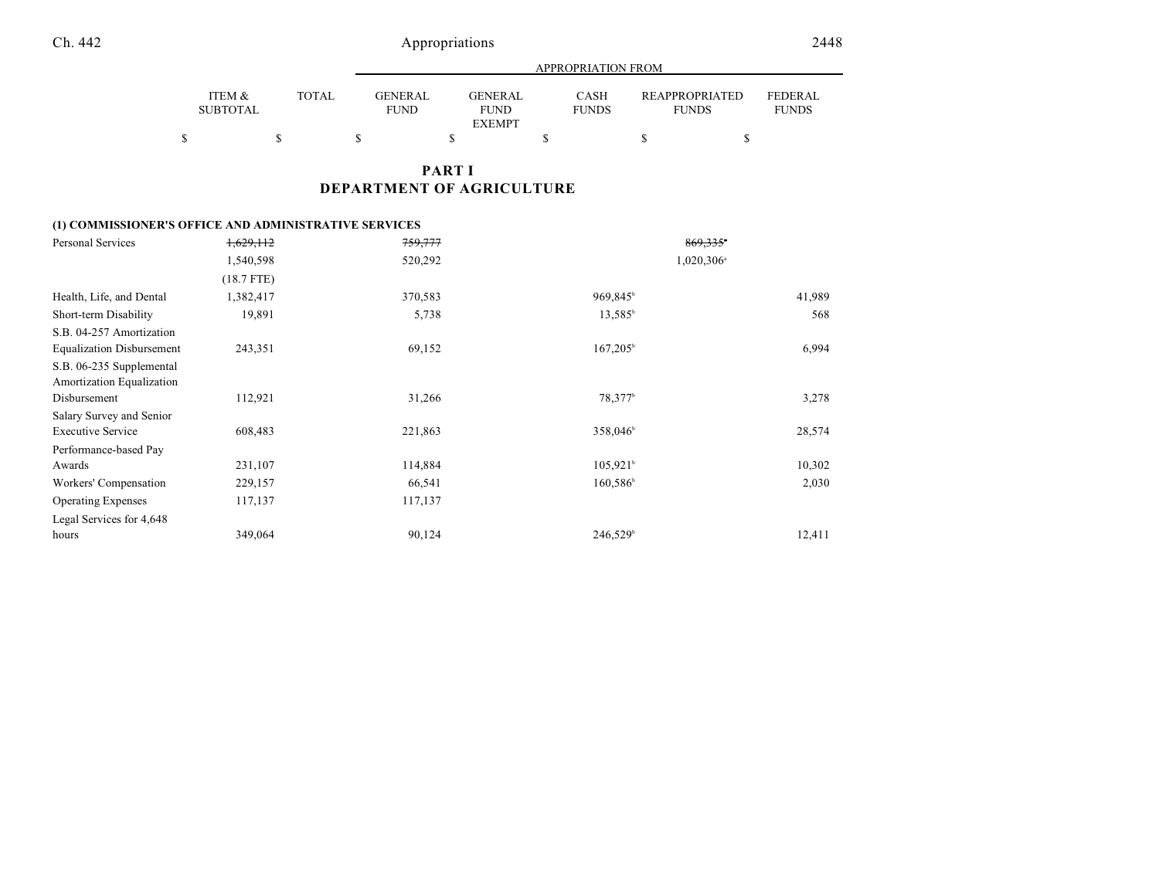|                           |        |                        | APPROPRIATION FROM                      |                      |                                       |                                |  |  |  |  |  |  |
|---------------------------|--------|------------------------|-----------------------------------------|----------------------|---------------------------------------|--------------------------------|--|--|--|--|--|--|
| ITEM &<br><b>SUBTOTAL</b> | TOTAL. | GENERAL<br><b>FUND</b> | GENERAL<br><b>FUND</b><br><b>EXEMPT</b> | CASH<br><b>FUNDS</b> | <b>REAPPROPRIATED</b><br><b>FUNDS</b> | <b>FEDERAL</b><br><b>FUNDS</b> |  |  |  |  |  |  |
| \$                        |        |                        |                                         |                      |                                       |                                |  |  |  |  |  |  |

### **PART I DEPARTMENT OF AGRICULTURE**

#### **(1) COMMISSIONER'S OFFICE AND ADMINISTRATIVE SERVICES**

| Personal Services                | 1,629,112    | 759,777 | 869,335*                 |        |
|----------------------------------|--------------|---------|--------------------------|--------|
|                                  | 1,540,598    | 520,292 | $1,020,306$ <sup>a</sup> |        |
|                                  | $(18.7$ FTE) |         |                          |        |
| Health, Life, and Dental         | 1,382,417    | 370,583 | 969,845 <sup>b</sup>     | 41,989 |
| Short-term Disability            | 19,891       | 5,738   | $13,585^{\circ}$         | 568    |
| S.B. 04-257 Amortization         |              |         |                          |        |
| <b>Equalization Disbursement</b> | 243,351      | 69,152  | $167,205^{\circ}$        | 6,994  |
| S.B. 06-235 Supplemental         |              |         |                          |        |
| Amortization Equalization        |              |         |                          |        |
| Disbursement                     | 112,921      | 31,266  | 78,377 <sup>b</sup>      | 3,278  |
| Salary Survey and Senior         |              |         |                          |        |
| <b>Executive Service</b>         | 608,483      | 221,863 | 358,046 <sup>b</sup>     | 28,574 |
| Performance-based Pay            |              |         |                          |        |
| Awards                           | 231,107      | 114,884 | $105,921$ <sup>b</sup>   | 10,302 |
| Workers' Compensation            | 229,157      | 66,541  | $160,586^{\circ}$        | 2,030  |
| <b>Operating Expenses</b>        | 117,137      | 117,137 |                          |        |
| Legal Services for 4,648         |              |         |                          |        |
| hours                            | 349,064      | 90,124  | 246,529 <sup>b</sup>     | 12,411 |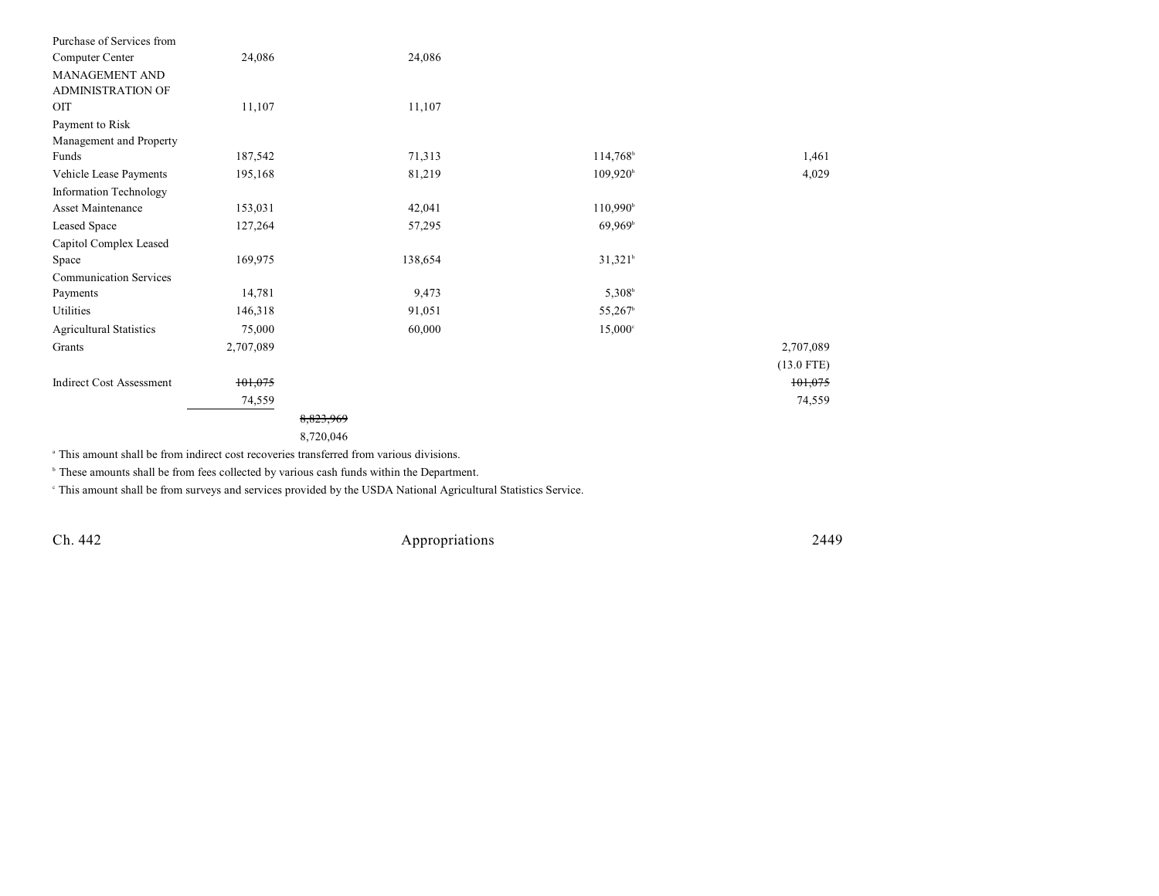| Purchase of Services from       |           |           |                      |              |
|---------------------------------|-----------|-----------|----------------------|--------------|
| Computer Center                 | 24,086    | 24,086    |                      |              |
| <b>MANAGEMENT AND</b>           |           |           |                      |              |
| <b>ADMINISTRATION OF</b>        |           |           |                      |              |
| OIT                             | 11,107    | 11,107    |                      |              |
| Payment to Risk                 |           |           |                      |              |
| Management and Property         |           |           |                      |              |
| Funds                           | 187,542   | 71,313    | 114,768              | 1,461        |
| Vehicle Lease Payments          | 195,168   | 81,219    | $109,920^{\circ}$    | 4,029        |
| Information Technology          |           |           |                      |              |
| Asset Maintenance               | 153,031   | 42,041    | 110,990 <sup>b</sup> |              |
| Leased Space                    | 127,264   | 57,295    | 69,969 <sup>b</sup>  |              |
| Capitol Complex Leased          |           |           |                      |              |
| Space                           | 169,975   | 138,654   | $31,321^b$           |              |
| <b>Communication Services</b>   |           |           |                      |              |
| Payments                        | 14,781    | 9,473     | $5,308^b$            |              |
| Utilities                       | 146,318   | 91,051    | 55,267 <sup>b</sup>  |              |
| <b>Agricultural Statistics</b>  | 75,000    | 60,000    | $15,000^{\circ}$     |              |
| Grants                          | 2,707,089 |           |                      | 2,707,089    |
|                                 |           |           |                      | $(13.0$ FTE) |
| <b>Indirect Cost Assessment</b> | 101,075   |           |                      | 101,075      |
|                                 | 74,559    |           |                      | 74,559       |
|                                 |           | 8,823,969 |                      |              |
|                                 |           | 8,720,046 |                      |              |
|                                 |           |           |                      |              |

<sup>a</sup> This amount shall be from indirect cost recoveries transferred from various divisions.

 $\circ$  These amounts shall be from fees collected by various cash funds within the Department.

This amount shall be from surveys and services provided by the USDA National Agricultural Statistics Service. <sup>c</sup>

Ch. 442 Appropriations 2449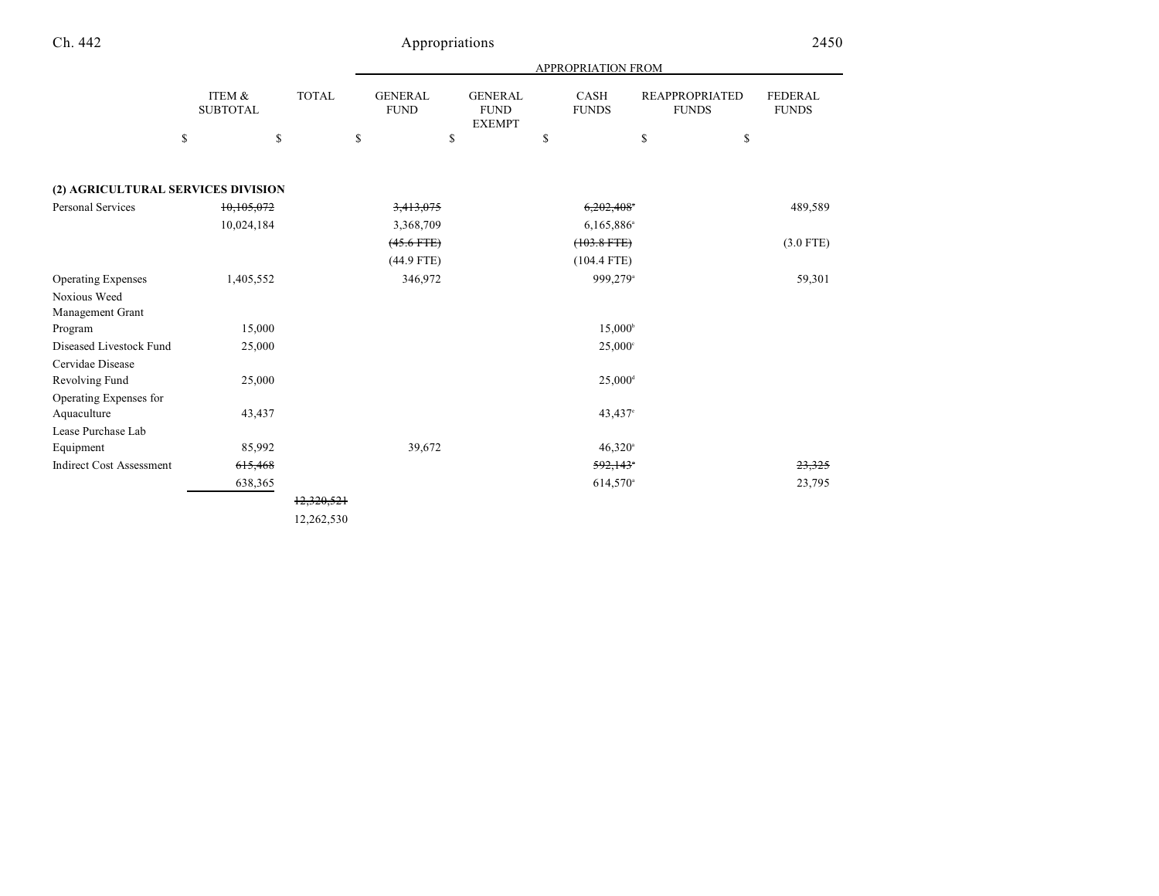|                                    |                           |              |                               |                                                | APPROPRIATION FROM     |                                       |                                |
|------------------------------------|---------------------------|--------------|-------------------------------|------------------------------------------------|------------------------|---------------------------------------|--------------------------------|
|                                    | ITEM &<br><b>SUBTOTAL</b> | <b>TOTAL</b> | <b>GENERAL</b><br><b>FUND</b> | <b>GENERAL</b><br><b>FUND</b><br><b>EXEMPT</b> | CASH<br><b>FUNDS</b>   | <b>REAPPROPRIATED</b><br><b>FUNDS</b> | <b>FEDERAL</b><br><b>FUNDS</b> |
|                                    | \$                        | \$           | \$                            | \$                                             | \$                     | \$<br>\$                              |                                |
| (2) AGRICULTURAL SERVICES DIVISION |                           |              |                               |                                                |                        |                                       |                                |
| Personal Services                  | 10,105,072                |              | 3,413,075                     |                                                | 6,202,408              |                                       | 489,589                        |
|                                    | 10,024,184                |              | 3,368,709                     |                                                | 6,165,886 <sup>a</sup> |                                       |                                |
|                                    |                           |              | $(45.6$ FTE $)$               |                                                | $(103.8$ FTE $)$       |                                       | $(3.0$ FTE)                    |
|                                    |                           |              | (44.9 FTE)                    |                                                | $(104.4$ FTE)          |                                       |                                |
| <b>Operating Expenses</b>          | 1,405,552                 |              | 346,972                       |                                                | 999,279 <sup>a</sup>   |                                       | 59,301                         |
| Noxious Weed                       |                           |              |                               |                                                |                        |                                       |                                |
| Management Grant                   |                           |              |                               |                                                |                        |                                       |                                |
| Program                            | 15,000                    |              |                               |                                                | $15,000^{\circ}$       |                                       |                                |
| Diseased Livestock Fund            | 25,000                    |              |                               |                                                | $25,000^{\circ}$       |                                       |                                |
| Cervidae Disease                   |                           |              |                               |                                                |                        |                                       |                                |
| Revolving Fund                     | 25,000                    |              |                               |                                                | $25,000$ <sup>d</sup>  |                                       |                                |
| Operating Expenses for             |                           |              |                               |                                                |                        |                                       |                                |
| Aquaculture                        | 43,437                    |              |                               |                                                | 43,437°                |                                       |                                |
| Lease Purchase Lab                 |                           |              |                               |                                                |                        |                                       |                                |
| Equipment                          | 85,992                    |              | 39,672                        |                                                | $46,320^{\circ}$       |                                       |                                |
| <b>Indirect Cost Assessment</b>    | 615,468                   |              |                               |                                                | 592,143                |                                       | 23,325                         |
|                                    | 638,365                   |              |                               |                                                | 614,570 <sup>a</sup>   |                                       | 23,795                         |
|                                    |                           | 12,320,521   |                               |                                                |                        |                                       |                                |
|                                    |                           | 12,262,530   |                               |                                                |                        |                                       |                                |

Ch. 442 Appropriations 2450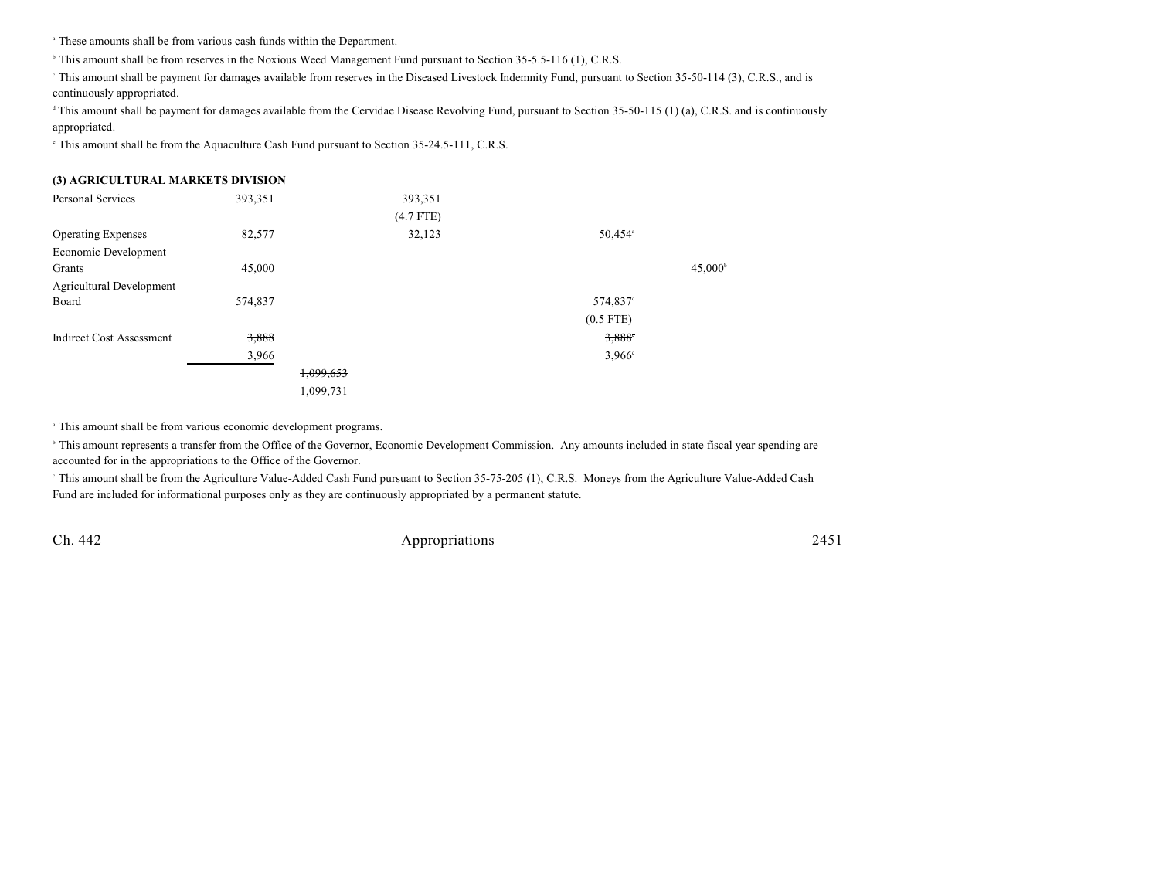<sup>a</sup> These amounts shall be from various cash funds within the Department.

<sup>b</sup> This amount shall be from reserves in the Noxious Weed Management Fund pursuant to Section 35-5.5-116 (1), C.R.S.

This amount shall be payment for damages available from reserves in the Diseased Livestock Indemnity Fund, pursuant to Section 35-50-114 (3), C.R.S., and is continuously appropriated.

<sup>d</sup> This amount shall be payment for damages available from the Cervidae Disease Revolving Fund, pursuant to Section 35-50-115 (1) (a), C.R.S. and is continuously appropriated.

<sup>e</sup> This amount shall be from the Aquaculture Cash Fund pursuant to Section 35-24.5-111, C.R.S.

| (3) AGRICULTURAL MARKETS DIVISION |         |           |             |                     |                  |
|-----------------------------------|---------|-----------|-------------|---------------------|------------------|
| Personal Services                 | 393,351 |           | 393,351     |                     |                  |
|                                   |         |           | $(4.7$ FTE) |                     |                  |
| <b>Operating Expenses</b>         | 82,577  |           | 32,123      | 50,454 <sup>a</sup> |                  |
| Economic Development              |         |           |             |                     |                  |
| Grants                            | 45,000  |           |             |                     | $45,000^{\circ}$ |
| <b>Agricultural Development</b>   |         |           |             |                     |                  |
| Board                             | 574,837 |           |             | 574,837°            |                  |
|                                   |         |           |             | $(0.5$ FTE)         |                  |
| <b>Indirect Cost Assessment</b>   | 3,888   |           |             | 3,888               |                  |
|                                   | 3,966   |           |             | $3.966^{\circ}$     |                  |
|                                   |         | 1,099,653 |             |                     |                  |
|                                   |         | 1,099,731 |             |                     |                  |

<sup>a</sup> This amount shall be from various economic development programs.

<sup>b</sup> This amount represents a transfer from the Office of the Governor, Economic Development Commission. Any amounts included in state fiscal year spending are accounted for in the appropriations to the Office of the Governor.

 This amount shall be from the Agriculture Value-Added Cash Fund pursuant to Section 35-75-205 (1), C.R.S. Moneys from the Agriculture Value-Added Cash <sup>c</sup> Fund are included for informational purposes only as they are continuously appropriated by a permanent statute.

Ch. 442 Appropriations 2451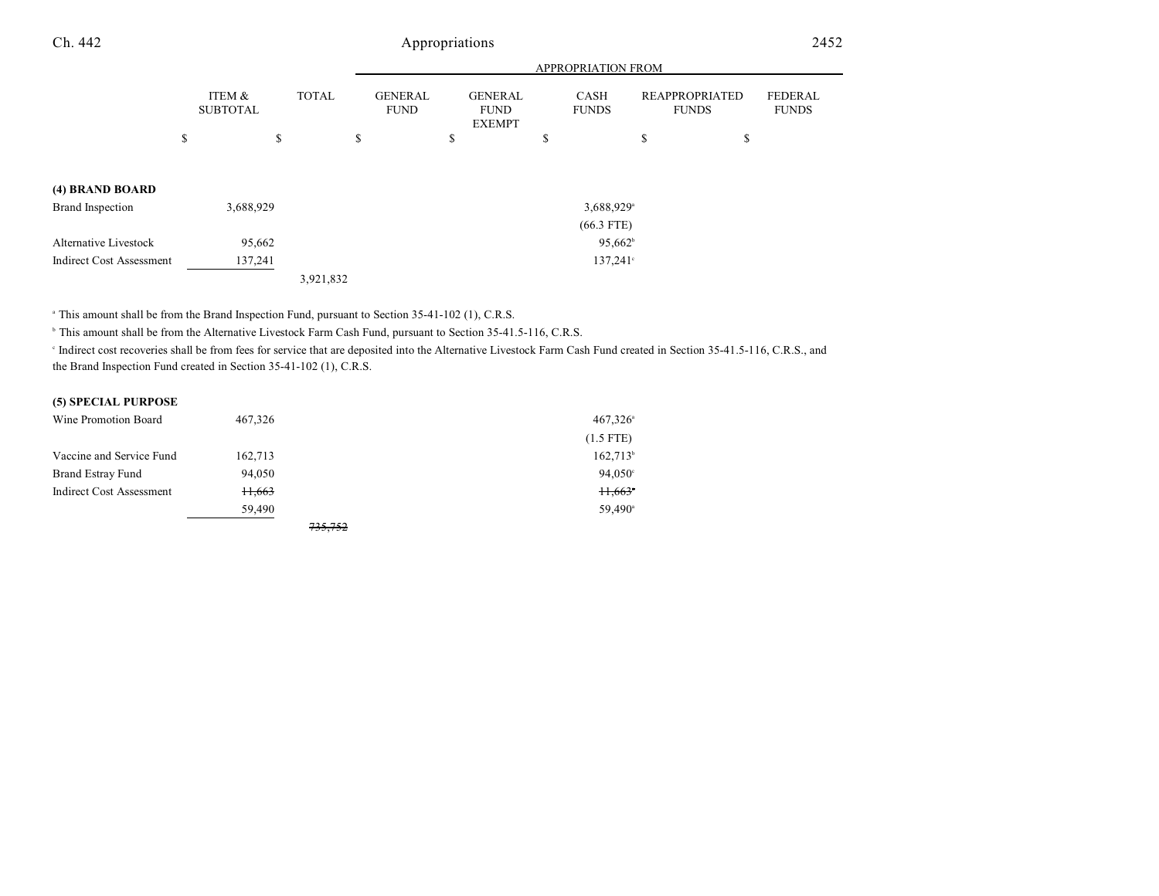### Ch. 442 Appropriations 2452

|                                 |                           |              |                               |                                                | <b>APPROPRIATION FROM</b>   |                                       |                                |
|---------------------------------|---------------------------|--------------|-------------------------------|------------------------------------------------|-----------------------------|---------------------------------------|--------------------------------|
|                                 | ITEM &<br><b>SUBTOTAL</b> | <b>TOTAL</b> | <b>GENERAL</b><br><b>FUND</b> | <b>GENERAL</b><br><b>FUND</b><br><b>EXEMPT</b> | <b>CASH</b><br><b>FUNDS</b> | <b>REAPPROPRIATED</b><br><b>FUNDS</b> | <b>FEDERAL</b><br><b>FUNDS</b> |
|                                 | \$                        | \$<br>\$     |                               | \$                                             | \$                          | \$<br>\$                              |                                |
|                                 |                           |              |                               |                                                |                             |                                       |                                |
| (4) BRAND BOARD                 |                           |              |                               |                                                |                             |                                       |                                |
| <b>Brand Inspection</b>         | 3,688,929                 |              |                               |                                                | 3,688,929 <sup>a</sup>      |                                       |                                |
|                                 |                           |              |                               |                                                | $(66.3$ FTE)                |                                       |                                |
| <b>Alternative Livestock</b>    | 95,662                    |              |                               |                                                | $95,662^{\circ}$            |                                       |                                |
| <b>Indirect Cost Assessment</b> | 137,241                   |              |                               |                                                | $137,241^{\circ}$           |                                       |                                |
|                                 |                           | 3,921,832    |                               |                                                |                             |                                       |                                |

<sup>a</sup> This amount shall be from the Brand Inspection Fund, pursuant to Section 35-41-102 (1), C.R.S.

<sup>b</sup> This amount shall be from the Alternative Livestock Farm Cash Fund, pursuant to Section 35-41.5-116, C.R.S.

Indirect cost recoveries shall be from fees for service that are deposited into the Alternative Livestock Farm Cash Fund created in Section 35-41.5-116, C.R.S., and the Brand Inspection Fund created in Section 35-41-102 (1), C.R.S.

#### **(5) SPECIAL PURPOSE**

| Wine Promotion Board     | 467,326 |         | $467,326$ <sup>a</sup> |
|--------------------------|---------|---------|------------------------|
|                          |         |         | $(1.5$ FTE)            |
| Vaccine and Service Fund | 162,713 |         | $162,713$ <sup>b</sup> |
| <b>Brand Estray Fund</b> | 94.050  |         | $94.050^{\circ}$       |
| Indirect Cost Assessment | 11,663  |         | 11,663                 |
|                          | 59,490  |         | $59.490^{\circ}$       |
|                          |         | 735.752 |                        |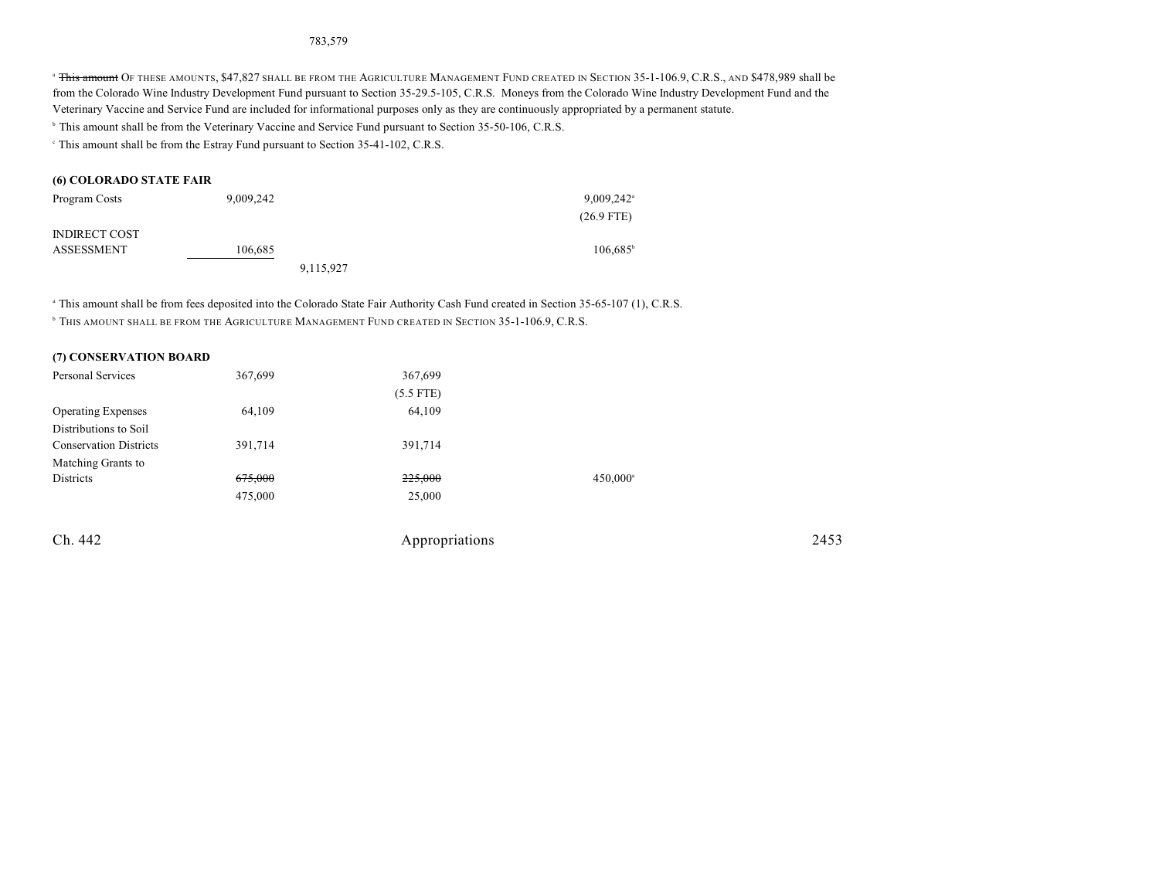#### 783,579

<sup>a</sup> This amount Of THESE AMOUNTS, \$47,827 SHALL BE FROM THE AGRICULTURE MANAGEMENT FUND CREATED IN SECTION 35-1-106.9, C.R.S., AND \$478,989 shall be from the Colorado Wine Industry Development Fund pursuant to Section 35-29.5-105, C.R.S. Moneys from the Colorado Wine Industry Development Fund and the Veterinary Vaccine and Service Fund are included for informational purposes only as they are continuously appropriated by a permanent statute.

<sup>b</sup> This amount shall be from the Veterinary Vaccine and Service Fund pursuant to Section 35-50-106, C.R.S.

This amount shall be from the Estray Fund pursuant to Section 35-41-102, C.R.S. <sup>c</sup>

#### **(6) COLORADO STATE FAIR**

| Program Costs        | 9,009,242 |           | $9,009,242$ <sup>a</sup> |
|----------------------|-----------|-----------|--------------------------|
|                      |           |           | $(26.9$ FTE)             |
| <b>INDIRECT COST</b> |           |           |                          |
| ASSESSMENT           | 106,685   |           | $106,685^{\circ}$        |
|                      |           | 9,115,927 |                          |

<sup>a</sup> This amount shall be from fees deposited into the Colorado State Fair Authority Cash Fund created in Section 35-65-107 (1), C.R.S. <sup>b</sup> This amount shall be from the Agriculture Management Fund created in Section 35-1-106.9, C.R.S.

| (7) CONSERVATION BOARD        |                    |                |                      |      |
|-------------------------------|--------------------|----------------|----------------------|------|
| <b>Personal Services</b>      | 367,699            | 367,699        |                      |      |
|                               |                    | $(5.5$ FTE)    |                      |      |
| <b>Operating Expenses</b>     | 64,109             | 64,109         |                      |      |
| Distributions to Soil         |                    |                |                      |      |
| <b>Conservation Districts</b> | 391,714            | 391,714        |                      |      |
| Matching Grants to            |                    |                |                      |      |
| Districts                     | <del>675,000</del> | 225,000        | 450,000 <sup>a</sup> |      |
|                               | 475,000            | 25,000         |                      |      |
| Ch. 442                       |                    | Appropriations |                      | 2453 |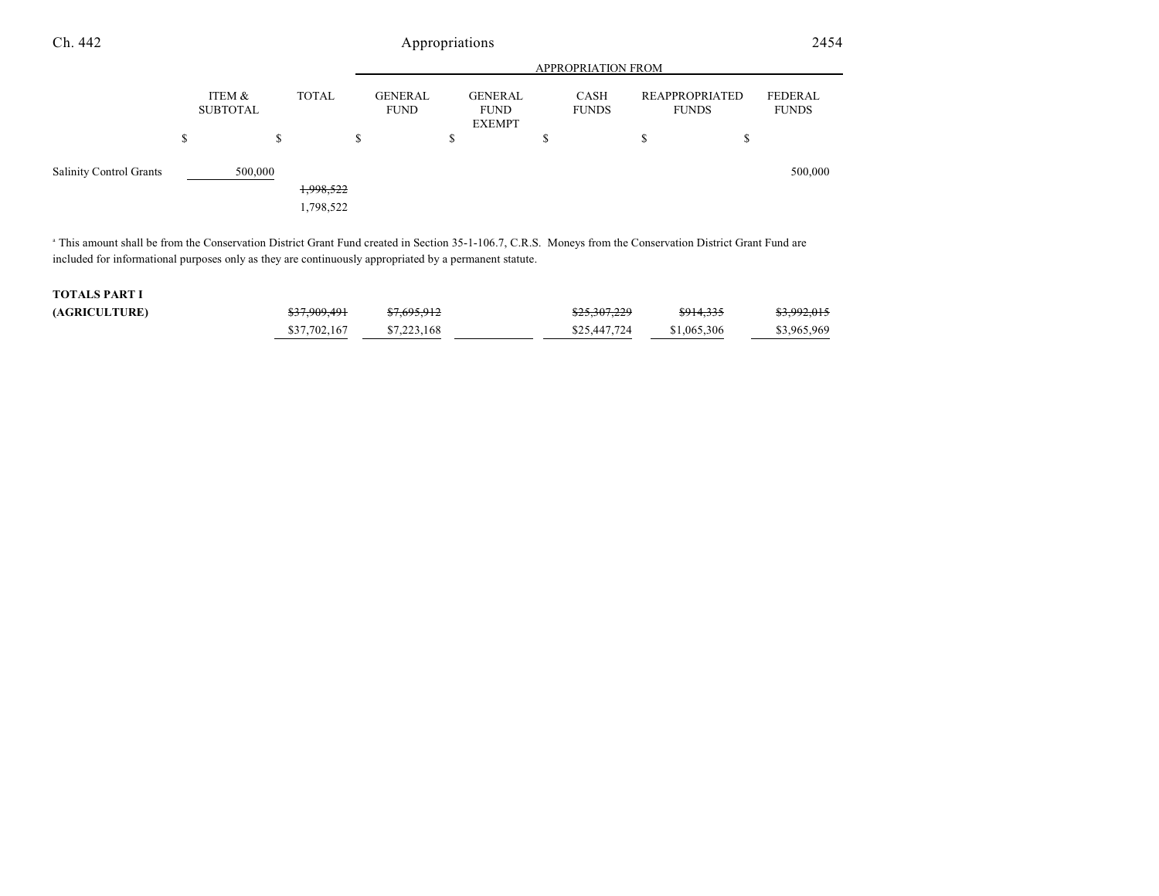| Ch. 442                        | Appropriations |                           |                        |    |                               |         |                                                |   |                           | 2454 |                                       |                                |
|--------------------------------|----------------|---------------------------|------------------------|----|-------------------------------|---------|------------------------------------------------|---|---------------------------|------|---------------------------------------|--------------------------------|
|                                |                |                           |                        |    |                               |         |                                                |   | <b>APPROPRIATION FROM</b> |      |                                       |                                |
|                                |                | ITEM &<br><b>SUBTOTAL</b> | <b>TOTAL</b>           |    | <b>GENERAL</b><br><b>FUND</b> |         | <b>GENERAL</b><br><b>FUND</b><br><b>EXEMPT</b> |   | CASH<br><b>FUNDS</b>      |      | <b>REAPPROPRIATED</b><br><b>FUNDS</b> | <b>FEDERAL</b><br><b>FUNDS</b> |
|                                | \$             | \$                        |                        | \$ |                               | Φ<br>D. |                                                | S |                           | D.   | Φ<br>ъ                                |                                |
| <b>Salinity Control Grants</b> |                | 500,000                   | 1,998,522<br>1,798,522 |    |                               |         |                                                |   |                           |      |                                       | 500,000                        |

<sup>a</sup> This amount shall be from the Conservation District Grant Fund created in Section 35-1-106.7, C.R.S. Moneys from the Conservation District Grant Fund are included for informational purposes only as they are continuously appropriated by a permanent statute.

#### **TOTALS PART I**  $(AGRICULTURE)$

| 0.7000101    | 07605012    | 0.222220     | \$914,335   | 0.00000000  |
|--------------|-------------|--------------|-------------|-------------|
| 0.7777771    | 01,023,712  | 023.501.227  |             | 0.772, 0.17 |
| \$37,702,167 | \$7,223,168 | \$25,447,724 | \$1,065,306 | \$3,965,969 |